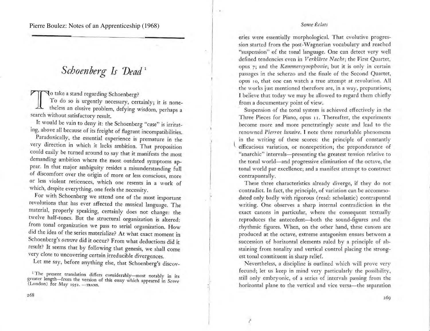Pierre Boulez: Notes of an Apprenticeship (1968)

### *Some Eclats*

# Schoenberg Is Dead<sup>1</sup>

To take a stand regarding Schoenberg?<br>
To do so is urgently necessary, certainly; it is none-<br>
theless an elusive problem, defying wisdom, perhaps a To do so is urgently necessary, certainly; it is nonesearch without satisfactory result.

It would be vain to deny it: the Schoenberg "case" is irritating, above all because of its freight of flagrant incompatibilities.

Paradoxically, the essential experience is premature in the very direction in which it lacks ambition. That proposition could easily be turned around to say that it manifests the most demanding ambition where the most outdated symptoms appear. In that major ambiguity resides a misunderstanding full of discomfort over the origin of more or less conscious, more or less violent reticences, which one resents in a work of which, despite everything, one feels the necessity.

For with Schoenberg we attend one of the most important revolutions that has ever affected the musical language. The material, properly speaking, certainly does not change: the twelve half-tones. But the structural organization is altered: from tonal organization we pass to serial organization. How did the idea of the series materialize? At what exact moment in Schoenberg's *oeuvre* did it occur? From what deductions did it result? It seems that by following that genesis, we shall come very close to uncovering certain irreducible divergences.

Let me say, before anything else, that Schoenberg's discov-

<sup>1</sup> The present translation differs considerably-most notably in its greater length-from the version of this essay which appeared in *Score* (London) for May 1952. - TRANS.

eries were essentially morphological. That evolutive progression started from the post-Wagnerian vocabulary and reached "suspension" of the tonal language. One can detect very well defined tendencies even in *Verklärte Nacht*; the First Ouartet, opus 7; and the *Kammersymphonie*; but it is only in certain passages in the scherzo and the finale of the Second Quartet, opus 10, that one can watch a true attempt at revolution. All the works just mentioned therefore are, in a way, preparations; I believe that today we may be allowed to regard them chiefly from a documentary point of view.

Suspension of the tonal system is achieved effectively in the Three Pieces for Piano, opus 11. Thereafter, the experiments become more and more penetratingly acute and lead to the renow ned *Pierrot lunaire.* I note three remarkable phenomena in the writing of these scores: the principle of constantly efficacious variation, or nonrepetition; the preponderance of "anarchic" intervals-presenting the greatest tension relative to the tonal world-and progressive elimination of the octave, the tonal world par excellence; and a manifest attempt to construct contrapuntally.

These three characteristics already diverge, if they do not contradict. In fact, the principle, of variation can be accommodated only badly with rigorous (read: scholastic) contrapuntal writing. One observes a sharp internal contradiction in the exact canons in particular, where the consequent textually reproduces the antecedent-both the sound-figures and the rhythmic figures. When, on the other hand, these canons are produced at the octave, extreme antagonism ensues between a succession of horizontal elements ruled by a principle of abstaining from tonality and vertical control placing the strongest tonal constituent in sharp relief.

Nevertheless, a discipline is outlined which will prove very fecund; let us keep in mind very particularly the possibility, still only embryonic, of a series of intervals passing from the horizontal plane to the vertical and vice versa-the separation

:i

I.

I

 $\mathcal{I}$ I

*t*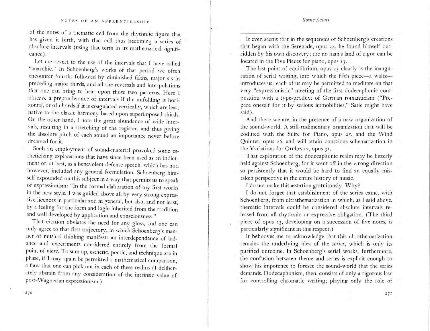### NOTES OF AN APPRENTICESHIP

of the notes of a thematic cell from the rhythmic figure that has given it birth, with that cell thus becoming a series of absolute intervals (using that term in its mathematical significance).

Let me revert to the use of the intervals that I have called "anarchic." In Schoenberg's works of that period we often encounter fourths followed by diminished fifths, major sixths preceding major thirds, and all the reversals and interpolations that one can bring to bear upon those two patterns. Here I observe a preponderance of intervals if the unfolding is horizontal, or of chords if it is coagulated vertically, which are least native to the classic harmony based upon superimposed thirds. On the other hand, I note the great abundance of wide intervals, resulting in a stretching of the register, and thus giving the absolute pitch of each sound an importance never before dreamed for it.

Such an employment of sound-material provoked some estheticizing explanations that have since been used as an indictment or, at best, as a benevolent defense speech, which has not, however, included any general formulation. Schoenberg himself expounded on this subject in a way that permits us to speak of expressionism: "In the formal elaboration of my first works in the new style, I was guided above all by very strong expressive licences in particular and in general, but also, and not least, by a feeling for the form and logic inherited from the tradition and well developed by application and consciousness."

That citation obviates the need for any gloss, and one can only agree to that first trajectory, in which Schoenberg's manner of musical thinking manifests an interdependence of balance and experiments considered entirely from the formal point of view. To sum up, esthetic, poetic, and technique are in phase, if I may again be permitted a mathematical comparison, a flaw that one can pick out in each of these realms (I deliberately abstain from any consideration of the intrinsic value of post-Wagnerian expressionism.)

It even seems that in the sequences of Schoenberg's creations that began with the Serenade, opus 24, he found himself outridden by his own discovery; the no man's land of rigor can be located in the Five Pieces for piano, opus 23.

The last point of equilibrium, opus 23 clearly is the inauguration of serial writing, into which the fifth piece-a waltzintroduces us: each of us may be permitted to meditate on that very "expressionistic" meeting of the first dodecaphonic composition with a type-product of German romanticism ("Prepare oneself for it by serious immobilities," Satie might have said).

And there we are, in the presence of a new organization of the sound-world. A still-rudimentary organization that will be codified with the Suite for Piano, opus 25, and the Wind Quintet, opus 26, and will attain conscious schematization in the Variations for Orchestra, opus 31.

That exploration of the dodecaphonic realm may be bitterly held against Schoenberg, for it went off in the wrong direction so persistently that it would be hard to find an equally mistaken perspective in the entire history of music.

I do not make this assertion gratuitously. Why?

I do not forget that establishment of the series came, with Schoenberg, from ultrathematization in which, as I said above, thematic intervals could be considered absolute intervals released from all rhythmic or expressive obligation. (The third piece of opus 23, developing on a succession of five notes, is particularly significant in this respect.)

It behooves me to acknowledge that this ultrathematization remains the underlying idea of the series, which is only its purified outcome. In Schoenberg's serial works, furthermore, the confusion between theme and series is explicit enough to show his impotence to foresee the sound-world that the series demands. Dodecaphonism, then, consists of only a rigorous law for controlling chromatic writing; playing only the role of

270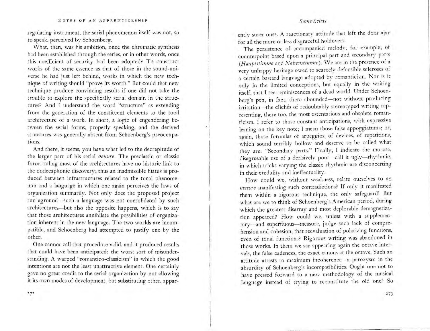#### Some Éclats

#### NOTES OF AN APPRENTICESHIP

regulating instrument, the serial phenomenon itself was not, so to speak, perceived by Schoenberg.

What, then, was his ambition, once the chromatic synthesis had been established through the series, or in other words, once this coefficient of security had been adopted? To construct works of the same essence as that of those in the sound-universe he had just left behind, works in which the new technique of writing should "prove its worth." But could that new technique produce convincing results if one did not take the trouble to explore the specifically serial domain in the structures? And I understand the word "structure" as extending from the generation of the constituent elements to the total architecture of a work. In short, a logic of engendering between the serial forms, properly speaking, and the derived structures was generally absent from Schoenberg's preoccupations.

And there, it seems, you have what led to the decrepitude of the larger part of his serial oeuvre. The preclassic or classic forms ruling most of the architectures have no historic link to the dodecaphonic discovery; thus an inadmissible hiatus is produced between infrastructures related to the tonal phenomenon and a language in which one again perceives the laws of organization summarily. Not only does the proposed project run aground—such a language was not consolidated by such architectures-but also the opposite happens, which is to say that those architectures annihilate the possibilities of organization inherent in the new language. The two worlds are incompatible, and Schoenberg had attempted to justify one by the other.

One cannot call that procedure valid, and it produced results that could have been anticipated: the worst sort of misunderstanding. A warped "romantico-classicism" in which the good intentions are not the least unattractive element. One certainly gave no great credit to the serial organization by not allowing it its own modes of development, but substituting other, apparently surer ones. A reactionary attitude that left the door ajar for all the more or less disgraceful holdovers.

The persistence of accompanied melody, for example; of counterpoint based upon a principal part and secondary parts (Hauptstimme and Nebenstimme). We are in the presence of a very unhappy heritage owed to scarcely defensible scleroses of a certain bastard language adopted by romanticism. Nor is it only in the limited conceptions, but equally in the writing itself, that I see reminiscences of a dead world. Under Schoenberg's pen, in fact, there abounded-not without producing irritation-the clichés of redoubtably stereotyped writing representing, there too, the most ostentatious and obsolete romanticism. I refer to those constant anticipations, with expressive leaning on the key note; I mean those false appoggiaturas; or, again, those formulas of arpeggios, of devices, of repetitions, which sound terribly hollow and deserve to be called what they are: "Secondary parts." Finally, I indicate the morose, disagreeable use of a derisively poor-call it ugly-rhythmic, in which tricks varying the classic rhythmic are disconcerting in their credulity and ineffectuality.

How could we, without weakness, relate ourselves to an oeuvre manifesting such contradictions? If only it manifested them within a rigorous technique, the only safeguard! But what are we to think of Schoenberg's American period, during which the greatest disarray and most deplorable demagnetization appeared? How could we, unless with a supplementary-and superfluous-measure, judge such lack of comprehension and cohesion, that reevaluation of polarizing functions, even of tonal functions? Rigorous writing was abandoned in those works. In them we see appearing again the octave intervals, the false cadences, the exact canons at the octave. Such an attitude attests to maximum incoherence-a paroxysm in the absurdity of Schoenberg's incompatibilities. Ought one not to have pressed forward to a new methodology of the musical language instead of trying to reconstitute the old one? So